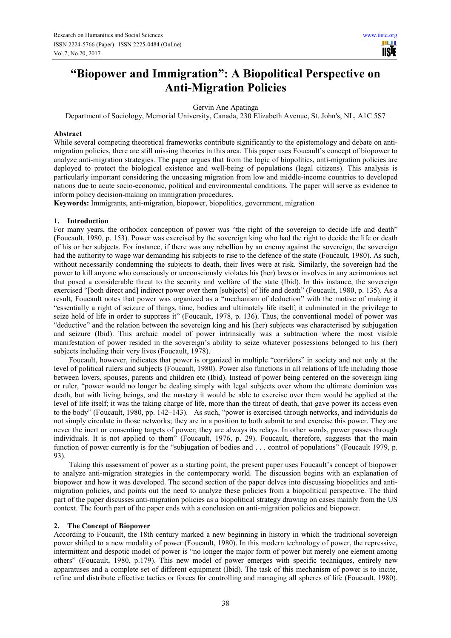# **"Biopower and Immigration": A Biopolitical Perspective on Anti-Migration Policies**

Gervin Ane Apatinga

Department of Sociology, Memorial University, Canada, 230 Elizabeth Avenue, St. John's, NL, A1C 5S7

#### **Abstract**

While several competing theoretical frameworks contribute significantly to the epistemology and debate on antimigration policies, there are still missing theories in this area. This paper uses Foucault's concept of biopower to analyze anti-migration strategies. The paper argues that from the logic of biopolitics, anti-migration policies are deployed to protect the biological existence and well-being of populations (legal citizens). This analysis is particularly important considering the unceasing migration from low and middle-income countries to developed nations due to acute socio-economic, political and environmental conditions. The paper will serve as evidence to inform policy decision-making on immigration procedures.

**Keywords:** Immigrants, anti-migration, biopower, biopolitics, government, migration

#### **1. Introduction**

For many years, the orthodox conception of power was "the right of the sovereign to decide life and death" (Foucault, 1980, p. 153). Power was exercised by the sovereign king who had the right to decide the life or death of his or her subjects. For instance, if there was any rebellion by an enemy against the sovereign, the sovereign had the authority to wage war demanding his subjects to rise to the defence of the state (Foucault, 1980). As such, without necessarily condemning the subjects to death, their lives were at risk. Similarly, the sovereign had the power to kill anyone who consciously or unconsciously violates his (her) laws or involves in any acrimonious act that posed a considerable threat to the security and welfare of the state (Ibid). In this instance, the sovereign exercised "[both direct and] indirect power over them [subjects] of life and death" (Foucault, 1980, p. 135). As a result, Foucault notes that power was organized as a "mechanism of deduction" with the motive of making it "essentially a right of seizure of things, time, bodies and ultimately life itself; it culminated in the privilege to seize hold of life in order to suppress it" (Foucault, 1978, p. 136). Thus, the conventional model of power was "deductive" and the relation between the sovereign king and his (her) subjects was characterised by subjugation and seizure (Ibid). This archaic model of power intrinsically was a subtraction where the most visible manifestation of power resided in the sovereign's ability to seize whatever possessions belonged to his (her) subjects including their very lives (Foucault, 1978).

Foucault, however, indicates that power is organized in multiple "corridors" in society and not only at the level of political rulers and subjects (Foucault, 1980). Power also functions in all relations of life including those between lovers, spouses, parents and children etc (Ibid). Instead of power being centered on the sovereign king or ruler, "power would no longer be dealing simply with legal subjects over whom the ultimate dominion was death, but with living beings, and the mastery it would be able to exercise over them would be applied at the level of life itself; it was the taking charge of life, more than the threat of death, that gave power its access even to the body" (Foucault, 1980, pp. 142–143). As such, "power is exercised through networks, and individuals do not simply circulate in those networks; they are in a position to both submit to and exercise this power. They are never the inert or consenting targets of power; they are always its relays. In other words, power passes through individuals. It is not applied to them" (Foucault, 1976, p. 29). Foucault, therefore, suggests that the main function of power currently is for the "subjugation of bodies and . . . control of populations" (Foucault 1979, p. 93).

Taking this assessment of power as a starting point, the present paper uses Foucault's concept of biopower to analyze anti-migration strategies in the contemporary world. The discussion begins with an explanation of biopower and how it was developed. The second section of the paper delves into discussing biopolitics and antimigration policies, and points out the need to analyze these policies from a biopolitical perspective. The third part of the paper discusses anti-migration policies as a biopolitical strategy drawing on cases mainly from the US context. The fourth part of the paper ends with a conclusion on anti-migration policies and biopower.

#### **2. The Concept of Biopower**

According to Foucault, the 18th century marked a new beginning in history in which the traditional sovereign power shifted to a new modality of power (Foucault, 1980). In this modern technology of power, the repressive, intermittent and despotic model of power is "no longer the major form of power but merely one element among others" (Foucault, 1980, p.179). This new model of power emerges with specific techniques, entirely new apparatuses and a complete set of different equipment (Ibid). The task of this mechanism of power is to incite, refine and distribute effective tactics or forces for controlling and managing all spheres of life (Foucault, 1980).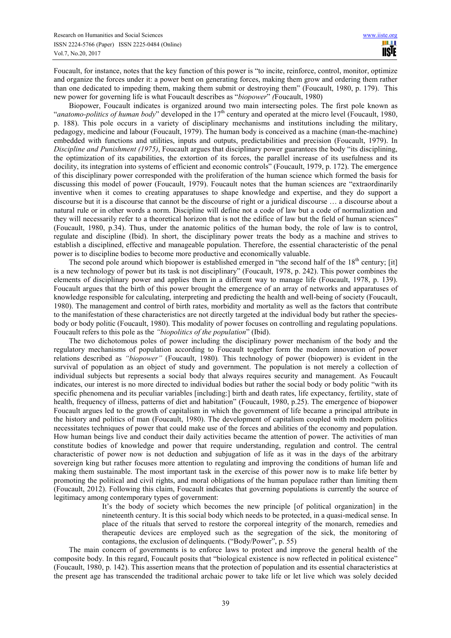Foucault, for instance, notes that the key function of this power is "to incite, reinforce, control, monitor, optimize and organize the forces under it: a power bent on generating forces, making them grow and ordering them rather than one dedicated to impeding them, making them submit or destroying them" (Foucault, 1980, p. 179). This new power for governing life is what Foucault describes as "*biopower*" *(*Foucault, 1980)

Biopower, Foucault indicates is organized around two main intersecting poles. The first pole known as "*anatomo-politics of human body*" developed in the 17<sup>th</sup> century and operated at the micro level (Foucault, 1980, p. 188). This pole occurs in a variety of disciplinary mechanisms and institutions including the military, pedagogy, medicine and labour (Foucault, 1979). The human body is conceived as a machine (man-the-machine) embedded with functions and utilities, inputs and outputs, predictabilities and precision (Foucault, 1979). In *Discipline and Punishment (1975)*, Foucault argues that disciplinary power guarantees the body "its disciplining, the optimization of its capabilities, the extortion of its forces, the parallel increase of its usefulness and its docility, its integration into systems of efficient and economic controls" (Foucault, 1979, p. 172). The emergence of this disciplinary power corresponded with the proliferation of the human science which formed the basis for discussing this model of power (Foucault, 1979). Foucault notes that the human sciences are "extraordinarily inventive when it comes to creating apparatuses to shape knowledge and expertise, and they do support a discourse but it is a discourse that cannot be the discourse of right or a juridical discourse … a discourse about a natural rule or in other words a norm. Discipline will define not a code of law but a code of normalization and they will necessarily refer to a theoretical horizon that is not the edifice of law but the field of human sciences" (Foucault, 1980, p.34). Thus, under the anatomic politics of the human body, the role of law is to control, regulate and discipline (Ibid). In short, the disciplinary power treats the body as a machine and strives to establish a disciplined, effective and manageable population. Therefore, the essential characteristic of the penal power is to discipline bodies to become more productive and economically valuable.

The second pole around which biopower is established emerged in "the second half of the 18<sup>th</sup> century; [it] is a new technology of power but its task is not disciplinary" (Foucault, 1978, p. 242). This power combines the elements of disciplinary power and applies them in a different way to manage life (Foucault, 1978, p. 139). Foucault argues that the birth of this power brought the emergence of an array of networks and apparatuses of knowledge responsible for calculating, interpreting and predicting the health and well-being of society (Foucault, 1980). The management and control of birth rates, morbidity and mortality as well as the factors that contribute to the manifestation of these characteristics are not directly targeted at the individual body but rather the speciesbody or body politic (Foucault, 1980). This modality of power focuses on controlling and regulating populations. Foucault refers to this pole as the *"biopolitics of the population*" (Ibid).

The two dichotomous poles of power including the disciplinary power mechanism of the body and the regulatory mechanisms of population according to Foucault together form the modern innovation of power relations described as *"biopower"* (Foucault, 1980)*.* This technology of power (biopower) is evident in the survival of population as an object of study and government. The population is not merely a collection of individual subjects but represents a social body that always requires security and management. As Foucault indicates, our interest is no more directed to individual bodies but rather the social body or body politic "with its specific phenomena and its peculiar variables [including:] birth and death rates, life expectancy, fertility, state of health, frequency of illness, patterns of diet and habitation" (Foucault, 1980, p.25). The emergence of biopower Foucault argues led to the growth of capitalism in which the government of life became a principal attribute in the history and politics of man (Foucault, 1980). The development of capitalism coupled with modern politics necessitates techniques of power that could make use of the forces and abilities of the economy and population. How human beings live and conduct their daily activities became the attention of power. The activities of man constitute bodies of knowledge and power that require understanding, regulation and control. The central characteristic of power now is not deduction and subjugation of life as it was in the days of the arbitrary sovereign king but rather focuses more attention to regulating and improving the conditions of human life and making them sustainable. The most important task in the exercise of this power now is to make life better by promoting the political and civil rights, and moral obligations of the human populace rather than limiting them (Foucault, 2012). Following this claim, Foucault indicates that governing populations is currently the source of legitimacy among contemporary types of government:

 It's the body of society which becomes the new principle [of political organization] in the nineteenth century. It is this social body which needs to be protected, in a quasi-medical sense. In place of the rituals that served to restore the corporeal integrity of the monarch, remedies and therapeutic devices are employed such as the segregation of the sick, the monitoring of contagions, the exclusion of delinquents. ("Body/Power", p. 55)

The main concern of governments is to enforce laws to protect and improve the general health of the composite body. In this regard, Foucault posits that "biological existence is now reflected in political existence" (Foucault, 1980, p. 142). This assertion means that the protection of population and its essential characteristics at the present age has transcended the traditional archaic power to take life or let live which was solely decided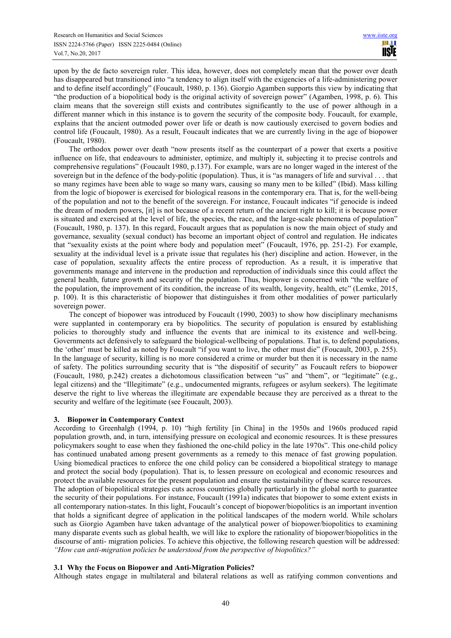upon by the de facto sovereign ruler. This idea, however, does not completely mean that the power over death has disappeared but transitioned into "a tendency to align itself with the exigencies of a life-administering power and to define itself accordingly" (Foucault, 1980, p. 136). Giorgio Agamben supports this view by indicating that "the production of a biopolitical body is the original activity of sovereign power" (Agamben, 1998, p. 6). This claim means that the sovereign still exists and contributes significantly to the use of power although in a different manner which in this instance is to govern the security of the composite body. Foucault, for example, explains that the ancient outmoded power over life or death is now cautiously exercised to govern bodies and control life (Foucault, 1980). As a result, Foucault indicates that we are currently living in the age of biopower (Foucault, 1980).

The orthodox power over death "now presents itself as the counterpart of a power that exerts a positive influence on life, that endeavours to administer, optimize, and multiply it, subjecting it to precise controls and comprehensive regulations" (Foucault 1980, p.137). For example, wars are no longer waged in the interest of the sovereign but in the defence of the body-politic (population). Thus, it is "as managers of life and survival . . . that so many regimes have been able to wage so many wars, causing so many men to be killed" (Ibid). Mass killing from the logic of biopower is exercised for biological reasons in the contemporary era. That is, for the well-being of the population and not to the benefit of the sovereign. For instance, Foucault indicates "if genocide is indeed the dream of modern powers, [it] is not because of a recent return of the ancient right to kill; it is because power is situated and exercised at the level of life, the species, the race, and the large-scale phenomena of population" (Foucault, 1980, p. 137). In this regard, Foucault argues that as population is now the main object of study and governance, sexuality (sexual conduct) has become an important object of control and regulation. He indicates that "sexuality exists at the point where body and population meet" (Foucault, 1976, pp. 251-2). For example, sexuality at the individual level is a private issue that regulates his (her) discipline and action. However, in the case of population, sexuality affects the entire process of reproduction. As a result, it is imperative that governments manage and intervene in the production and reproduction of individuals since this could affect the general health, future growth and security of the population. Thus, biopower is concerned with "the welfare of the population, the improvement of its condition, the increase of its wealth, longevity, health, etc" (Lemke, 2015, p. 100). It is this characteristic of biopower that distinguishes it from other modalities of power particularly sovereign power.

The concept of biopower was introduced by Foucault (1990, 2003) to show how disciplinary mechanisms were supplanted in contemporary era by biopolitics. The security of population is ensured by establishing policies to thoroughly study and influence the events that are inimical to its existence and well-being. Governments act defensively to safeguard the biological-wellbeing of populations. That is, to defend populations, the 'other' must be killed as noted by Foucault "if you want to live, the other must die" (Foucault, 2003, p. 255). In the language of security, killing is no more considered a crime or murder but then it is necessary in the name of safety. The politics surrounding security that is "the dispositif of security" as Foucault refers to biopower (Foucault, 1980, p.242) creates a dichotomous classification between "us" and "them", or "legitimate" (e.g., legal citizens) and the "Illegitimate" (e.g., undocumented migrants, refugees or asylum seekers). The legitimate deserve the right to live whereas the illegitimate are expendable because they are perceived as a threat to the security and welfare of the legitimate (see Foucault, 2003).

## **3. Biopower in Contemporary Context**

According to Greenhalgh (1994, p. 10) "high fertility [in China] in the 1950s and 1960s produced rapid population growth, and, in turn, intensifying pressure on ecological and economic resources. It is these pressures policymakers sought to ease when they fashioned the one-child policy in the late 1970s". This one-child policy has continued unabated among present governments as a remedy to this menace of fast growing population. Using biomedical practices to enforce the one child policy can be considered a biopolitical strategy to manage and protect the social body (population). That is, to lessen pressure on ecological and economic resources and protect the available resources for the present population and ensure the sustainability of these scarce resources. The adoption of biopolitical strategies cuts across countries globally particularly in the global north to guarantee

the security of their populations. For instance, Foucault (1991a) indicates that biopower to some extent exists in all contemporary nation-states. In this light, Foucault's concept of biopower/biopolitics is an important invention that holds a significant degree of application in the political landscapes of the modern world. While scholars such as Giorgio Agamben have taken advantage of the analytical power of biopower/biopolitics to examining many disparate events such as global health, we will like to explore the rationality of biopower/biopolitics in the discourse of anti- migration policies. To achieve this objective, the following research question will be addressed: *"How can anti-migration policies be understood from the perspective of biopolitics?"* 

## **3.1 Why the Focus on Biopower and Anti-Migration Policies?**

Although states engage in multilateral and bilateral relations as well as ratifying common conventions and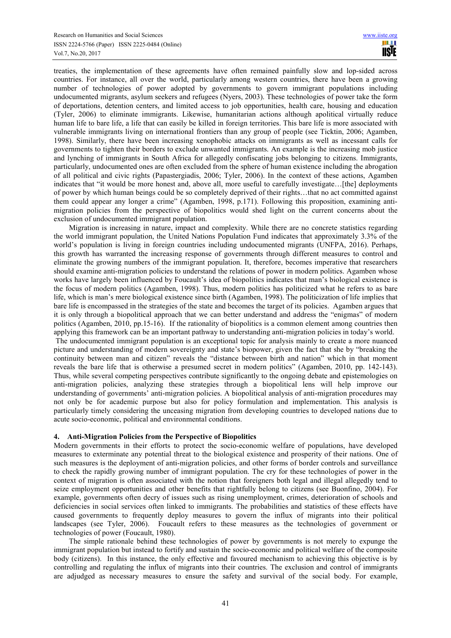treaties, the implementation of these agreements have often remained painfully slow and lop-sided across countries. For instance, all over the world, particularly among western countries, there have been a growing number of technologies of power adopted by governments to govern immigrant populations including undocumented migrants, asylum seekers and refugees (Nyers, 2003). These technologies of power take the form of deportations, detention centers, and limited access to job opportunities, health care, housing and education (Tyler, 2006) to eliminate immigrants. Likewise, humanitarian actions although apolitical virtually reduce human life to bare life, a life that can easily be killed in foreign territories. This bare life is more associated with vulnerable immigrants living on international frontiers than any group of people (see Ticktin, 2006; Agamben, 1998). Similarly, there have been increasing xenophobic attacks on immigrants as well as incessant calls for governments to tighten their borders to exclude unwanted immigrants. An example is the increasing mob justice and lynching of immigrants in South Africa for allegedly confiscating jobs belonging to citizens. Immigrants, particularly, undocumented ones are often excluded from the sphere of human existence including the abrogation of all political and civic rights (Papastergiadis, 2006; Tyler, 2006). In the context of these actions, Agamben indicates that "it would be more honest and, above all, more useful to carefully investigate...[the] deployments of power by which human beings could be so completely deprived of their rights…that no act committed against them could appear any longer a crime" (Agamben, 1998, p.171). Following this proposition, examining antimigration policies from the perspective of biopolitics would shed light on the current concerns about the exclusion of undocumented immigrant population.

Migration is increasing in nature, impact and complexity. While there are no concrete statistics regarding the world immigrant population, the United Nations Population Fund indicates that approximately 3.3% of the world's population is living in foreign countries including undocumented migrants (UNFPA, 2016). Perhaps, this growth has warranted the increasing response of governments through different measures to control and eliminate the growing numbers of the immigrant population. It, therefore, becomes imperative that researchers should examine anti-migration policies to understand the relations of power in modern politics. Agamben whose works have largely been influenced by Foucault's idea of biopolitics indicates that man's biological existence is the focus of modern politics (Agamben, 1998). Thus, modern politics has politicized what he refers to as bare life, which is man's mere biological existence since birth (Agamben, 1998). The politicization of life implies that bare life is encompassed in the strategies of the state and becomes the target of its policies. Agamben argues that it is only through a biopolitical approach that we can better understand and address the "enigmas" of modern politics (Agamben, 2010, pp.15-16). If the rationality of biopolitics is a common element among countries then applying this framework can be an important pathway to understanding anti-migration policies in today's world.

 The undocumented immigrant population is an exceptional topic for analysis mainly to create a more nuanced picture and understanding of modern sovereignty and state's biopower, given the fact that she by "breaking the continuity between man and citizen" reveals the "distance between birth and nation" which in that moment reveals the bare life that is otherwise a presumed secret in modern politics" (Agamben, 2010, pp. 142-143). Thus, while several competing perspectives contribute significantly to the ongoing debate and epistemologies on anti-migration policies, analyzing these strategies through a biopolitical lens will help improve our understanding of governments' anti-migration policies. A biopolitical analysis of anti-migration procedures may not only be for academic purpose but also for policy formulation and implementation. This analysis is particularly timely considering the unceasing migration from developing countries to developed nations due to acute socio-economic, political and environmental conditions.

## **4. Anti-Migration Policies from the Perspective of Biopolitics**

Modern governments in their efforts to protect the socio-economic welfare of populations, have developed measures to exterminate any potential threat to the biological existence and prosperity of their nations. One of such measures is the deployment of anti-migration policies, and other forms of border controls and surveillance to check the rapidly growing number of immigrant population. The cry for these technologies of power in the context of migration is often associated with the notion that foreigners both legal and illegal allegedly tend to seize employment opportunities and other benefits that rightfully belong to citizens (see Buonfino, 2004). For example, governments often decry of issues such as rising unemployment, crimes, deterioration of schools and deficiencies in social services often linked to immigrants. The probabilities and statistics of these effects have caused governments to frequently deploy measures to govern the influx of migrants into their political landscapes (see Tyler, 2006). Foucault refers to these measures as the technologies of government or technologies of power (Foucault, 1980).

The simple rationale behind these technologies of power by governments is not merely to expunge the immigrant population but instead to fortify and sustain the socio-economic and political welfare of the composite body (citizens). In this instance, the only effective and favoured mechanism to achieving this objective is by controlling and regulating the influx of migrants into their countries. The exclusion and control of immigrants are adjudged as necessary measures to ensure the safety and survival of the social body. For example,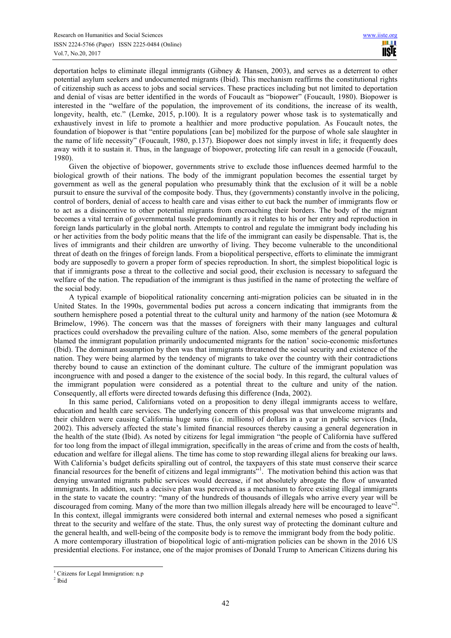deportation helps to eliminate illegal immigrants (Gibney & Hansen, 2003), and serves as a deterrent to other potential asylum seekers and undocumented migrants (Ibid). This mechanism reaffirms the constitutional rights of citizenship such as access to jobs and social services. These practices including but not limited to deportation and denial of visas are better identified in the words of Foucault as "biopower" (Foucault, 1980). Biopower is interested in the "welfare of the population, the improvement of its conditions, the increase of its wealth, longevity, health, etc." (Lemke, 2015, p.100). It is a regulatory power whose task is to systematically and exhaustively invest in life to promote a healthier and more productive population. As Foucault notes, the foundation of biopower is that "entire populations [can be] mobilized for the purpose of whole sale slaughter in the name of life necessity" (Foucault, 1980, p.137). Biopower does not simply invest in life; it frequently does away with it to sustain it. Thus, in the language of biopower, protecting life can result in a genocide (Foucault, 1980).

Given the objective of biopower, governments strive to exclude those influences deemed harmful to the biological growth of their nations. The body of the immigrant population becomes the essential target by government as well as the general population who presumably think that the exclusion of it will be a noble pursuit to ensure the survival of the composite body. Thus, they (governments) constantly involve in the policing, control of borders, denial of access to health care and visas either to cut back the number of immigrants flow or to act as a disincentive to other potential migrants from encroaching their borders. The body of the migrant becomes a vital terrain of governmental tussle predominantly as it relates to his or her entry and reproduction in foreign lands particularly in the global north. Attempts to control and regulate the immigrant body including his or her activities from the body politic means that the life of the immigrant can easily be dispensable. That is, the lives of immigrants and their children are unworthy of living. They become vulnerable to the unconditional threat of death on the fringes of foreign lands. From a biopolitical perspective, efforts to eliminate the immigrant body are supposedly to govern a proper form of species reproduction. In short, the simplest biopolitical logic is that if immigrants pose a threat to the collective and social good, their exclusion is necessary to safeguard the welfare of the nation. The repudiation of the immigrant is thus justified in the name of protecting the welfare of the social body.

A typical example of biopolitical rationality concerning anti-migration policies can be situated in in the United States. In the 1990s, governmental bodies put across a concern indicating that immigrants from the southern hemisphere posed a potential threat to the cultural unity and harmony of the nation (see Motomura & Brimelow, 1996). The concern was that the masses of foreigners with their many languages and cultural practices could overshadow the prevailing culture of the nation. Also, some members of the general population blamed the immigrant population primarily undocumented migrants for the nation' socio-economic misfortunes (Ibid). The dominant assumption by then was that immigrants threatened the social security and existence of the nation. They were being alarmed by the tendency of migrants to take over the country with their contradictions thereby bound to cause an extinction of the dominant culture. The culture of the immigrant population was incongruence with and posed a danger to the existence of the social body. In this regard, the cultural values of the immigrant population were considered as a potential threat to the culture and unity of the nation. Consequently, all efforts were directed towards defusing this difference (Inda, 2002).

In this same period, Californians voted on a proposition to deny illegal immigrants access to welfare, education and health care services. The underlying concern of this proposal was that unwelcome migrants and their children were causing California huge sums (i.e. millions) of dollars in a year in public services (Inda, 2002). This adversely affected the state's limited financial resources thereby causing a general degeneration in the health of the state (Ibid). As noted by citizens for legal immigration "the people of California have suffered for too long from the impact of illegal immigration, specifically in the areas of crime and from the costs of health, education and welfare for illegal aliens. The time has come to stop rewarding illegal aliens for breaking our laws. With California's budget deficits spiralling out of control, the taxpayers of this state must conserve their scarce financial resources for the benefit of citizens and legal immigrants<sup>",  $\Gamma$ </sup>. The motivation behind this action was that denying unwanted migrants public services would decrease, if not absolutely abrogate the flow of unwanted immigrants. In addition, such a decisive plan was perceived as a mechanism to force existing illegal immigrants in the state to vacate the country: "many of the hundreds of thousands of illegals who arrive every year will be discouraged from coming. Many of the more than two million illegals already here will be encouraged to leave". In this context, illegal immigrants were considered both internal and external nemeses who posed a significant threat to the security and welfare of the state. Thus, the only surest way of protecting the dominant culture and the general health, and well-being of the composite body is to remove the immigrant body from the body politic. A more contemporary illustration of biopolitical logic of anti-migration policies can be shown in the 2016 US presidential elections. For instance, one of the major promises of Donald Trump to American Citizens during his

֦

<sup>&</sup>lt;sup>1</sup> Citizens for Legal Immigration: n.p

 $2$  Ibid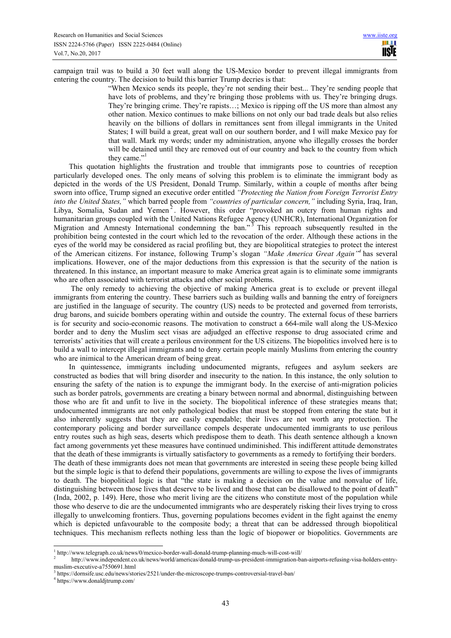campaign trail was to build a 30 feet wall along the US-Mexico border to prevent illegal immigrants from entering the country. The decision to build this barrier Trump decries is that:

"When Mexico sends its people, they're not sending their best... They're sending people that have lots of problems, and they're bringing those problems with us. They're bringing drugs. They're bringing crime. They're rapists…; Mexico is ripping off the US more than almost any other nation. Mexico continues to make billions on not only our bad trade deals but also relies heavily on the billions of dollars in remittances sent from illegal immigrants in the United States; I will build a great, great wall on our southern border, and I will make Mexico pay for that wall. Mark my words; under my administration, anyone who illegally crosses the border will be detained until they are removed out of our country and back to the country from which they came."

This quotation highlights the frustration and trouble that immigrants pose to countries of reception particularly developed ones. The only means of solving this problem is to eliminate the immigrant body as depicted in the words of the US President, Donald Trump. Similarly, within a couple of months after being sworn into office, Trump signed an executive order entitled *"Protecting the Nation from Foreign Terrorist Entry into the United States,"* which barred people from *"countries of particular concern,"* including Syria, Iraq, Iran, Libya, Somalia, Sudan and Yemen<sup>2</sup>. However, this order "provoked an outcry from human rights and humanitarian groups coupled with the United Nations Refugee Agency (UNHCR), International Organization for Migration and Amnesty International condemning the ban."<sup>3</sup> This reproach subsequently resulted in the prohibition being contested in the court which led to the revocation of the order. Although these actions in the eyes of the world may be considered as racial profiling but, they are biopolitical strategies to protect the interest of the American citizens. For instance, following Trump's slogan *"Make America Great Again"<sup>4</sup>* has several implications. However, one of the major deductions from this expression is that the security of the nation is threatened. In this instance, an important measure to make America great again is to eliminate some immigrants who are often associated with terrorist attacks and other social problems.

 The only remedy to achieving the objective of making America great is to exclude or prevent illegal immigrants from entering the country. These barriers such as building walls and banning the entry of foreigners are justified in the language of security. The country (US) needs to be protected and governed from terrorists, drug barons, and suicide bombers operating within and outside the country. The external focus of these barriers is for security and socio-economic reasons. The motivation to construct a 664-mile wall along the US-Mexico border and to deny the Muslim sect visas are adjudged an effective response to drug associated crime and terrorists' activities that will create a perilous environment for the US citizens. The biopolitics involved here is to build a wall to intercept illegal immigrants and to deny certain people mainly Muslims from entering the country who are inimical to the American dream of being great.

In quintessence, immigrants including undocumented migrants, refugees and asylum seekers are constructed as bodies that will bring disorder and insecurity to the nation. In this instance, the only solution to ensuring the safety of the nation is to expunge the immigrant body. In the exercise of anti-migration policies such as border patrols, governments are creating a binary between normal and abnormal, distinguishing between those who are fit and unfit to live in the society. The biopolitical inference of these strategies means that; undocumented immigrants are not only pathological bodies that must be stopped from entering the state but it also inherently suggests that they are easily expendable; their lives are not worth any protection. The contemporary policing and border surveillance compels desperate undocumented immigrants to use perilous entry routes such as high seas, deserts which predispose them to death. This death sentence although a known fact among governments yet these measures have continued undiminished. This indifferent attitude demonstrates that the death of these immigrants is virtually satisfactory to governments as a remedy to fortifying their borders. The death of these immigrants does not mean that governments are interested in seeing these people being killed but the simple logic is that to defend their populations, governments are willing to expose the lives of immigrants to death. The biopolitical logic is that "the state is making a decision on the value and nonvalue of life, distinguishing between those lives that deserve to be lived and those that can be disallowed to the point of death" (Inda, 2002, p. 149). Here, those who merit living are the citizens who constitute most of the population while those who deserve to die are the undocumented immigrants who are desperately risking their lives trying to cross illegally to unwelcoming frontiers. Thus, governing populations becomes evident in the fight against the enemy which is depicted unfavourable to the composite body; a threat that can be addressed through biopolitical techniques. This mechanism reflects nothing less than the logic of biopower or biopolitics. Governments are

<sup>&</sup>lt;sup>1</sup><br>http://www.telegraph.co.uk/news/0/mexico-border-wall-donald-trump-planning-much-will-cost-will/<br>http://www.telegraph.co.uk/news/0/mexico-border-wall-donald-trump-planning-much-will-cost-will/

http://www.independent.co.uk/news/world/americas/donald-trump-us-president-immigration-ban-airports-refusing-visa-holders-entrymuslim-executive-a7550691.html

<sup>3</sup> https://dornsife.usc.edu/news/stories/2521/under-the-microscope-trumps-controversial-travel-ban/

<sup>4</sup> https://www.donaldjtrump.com/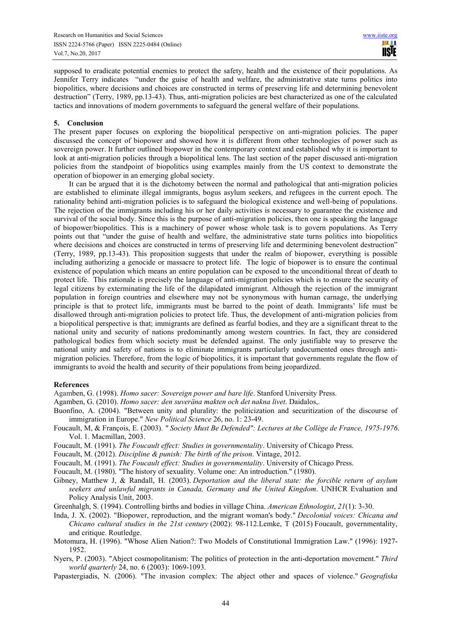supposed to eradicate potential enemies to protect the safety, health and the existence of their populations. As Jennifer Terry indicates "under the guise of health and welfare, the administrative state turns politics into biopolitics, where decisions and choices are constructed in terms of preserving life and determining benevolent destruction" (Terry, 1989, pp.13-43). Thus, anti-migration policies are best characterized as one of the calculated tactics and innovations of modern governments to safeguard the general welfare of their populations.

### **5. Conclusion**

The present paper focuses on exploring the biopolitical perspective on anti-migration policies. The paper discussed the concept of biopower and showed how it is different from other technologies of power such as sovereign power. It further outlined biopower in the contemporary context and established why it is important to look at anti-migration policies through a biopolitical lens. The last section of the paper discussed anti-migration policies from the standpoint of biopolitics using examples mainly from the US context to demonstrate the operation of biopower in an emerging global society.

It can be argued that it is the dichotomy between the normal and pathological that anti-migration policies are established to eliminate illegal immigrants, bogus asylum seekers, and refugees in the current epoch. The rationality behind anti-migration policies is to safeguard the biological existence and well-being of populations. The rejection of the immigrants including his or her daily activities is necessary to guarantee the existence and survival of the social body. Since this is the purpose of anti-migration policies, then one is speaking the language of biopower/biopolitics. This is a machinery of power whose whole task is to govern populations. As Terry points out that "under the guise of health and welfare, the administrative state turns politics into biopolitics where decisions and choices are constructed in terms of preserving life and determining benevolent destruction" (Terry, 1989, pp.13-43). This proposition suggests that under the realm of biopower, everything is possible including authorizing a genocide or massacre to protect life. The logic of biopower is to ensure the continual existence of population which means an entire population can be exposed to the unconditional threat of death to protect life. This rationale is precisely the language of anti-migration policies which is to ensure the security of legal citizens by exterminating the life of the dilapidated immigrant. Although the rejection of the immigrant population in foreign countries and elsewhere may not be synonymous with human carnage, the underlying principle is that to protect life, immigrants must be barred to the point of death. Immigrants' life must be disallowed through anti-migration policies to protect life. Thus, the development of anti-migration policies from a biopolitical perspective is that; immigrants are defined as fearful bodies, and they are a significant threat to the national unity and security of nations predominantly among western countries. In fact, they are considered pathological bodies from which society must be defended against. The only justifiable way to preserve the national unity and safety of nations is to eliminate immigrants particularly undocumented ones through antimigration policies. Therefore, from the logic of biopolitics, it is important that governments regulate the flow of immigrants to avoid the health and security of their populations from being jeopardized.

#### **References**

Agamben, G. (1998). *Homo sacer: Sovereign power and bare life*. Stanford University Press.

- Agamben, G. (2010). *Homo sacer: den suveräna makten och det nakna livet*. Daidalos,.
- Buonfino, A. (2004). "Between unity and plurality: the politicization and securitization of the discourse of immigration in Europe." *New Political Science* 26, no. 1: 23-49.
- Foucault, M, & François, E. (2003). *" Society Must Be Defended": Lectures at the Collège de France, 1975-1976*. Vol. 1. Macmillan, 2003.
- Foucault, M. (1991). *The Foucault effect: Studies in governmentality*. University of Chicago Press.
- Foucault, M. (2012). *Discipline & punish: The birth of the prison*. Vintage, 2012.
- Foucault, M. (1991). *The Foucault effect: Studies in governmentality*. University of Chicago Press.
- Foucault, M. (1980). "The history of sexuality. Volume one: An introduction." (1980).
- Gibney, Matthew J, & Randall, H. (2003). *Deportation and the liberal state: the forcible return of asylum seekers and unlawful migrants in Canada, Germany and the United Kingdom*. UNHCR Evaluation and Policy Analysis Unit, 2003.
- Greenhalgh, S. (1994). Controlling births and bodies in village China. *American Ethnologist*, *21*(1): 3-30.
- Inda, J. X. (2002). "Biopower, reproduction, and the migrant woman's body." *Decolonial voices: Chicana and Chicano cultural studies in the 21st century* (2002): 98-112.Lemke, T (2015) Foucault, governmentality, and critique. Routledge.
- Motomura, H. (1996). "Whose Alien Nation?: Two Models of Constitutional Immigration Law." (1996): 1927- 1952.
- Nyers, P. (2003). "Abject cosmopolitanism: The politics of protection in the anti-deportation movement." *Third world quarterly* 24, no. 6 (2003): 1069-1093.
- Papastergiadis, N. (2006). "The invasion complex: The abject other and spaces of violence." *Geografiska*